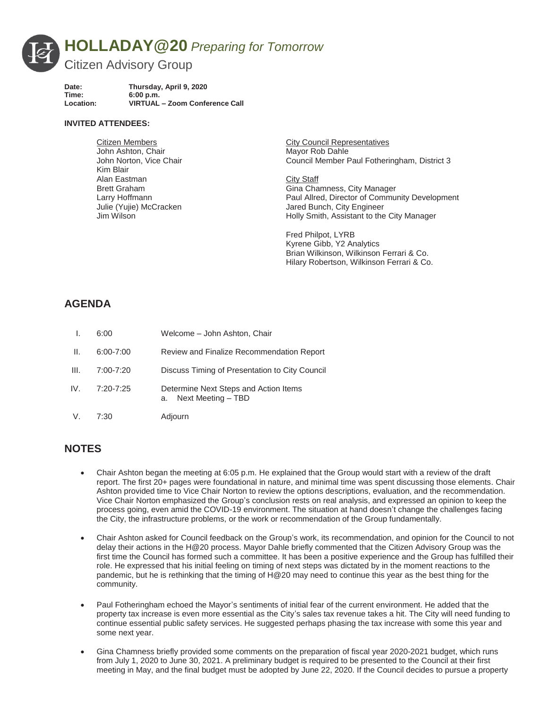

| Date:     | Thursday, April 9, 2020        |
|-----------|--------------------------------|
| Time:     | 6:00 p.m.                      |
| Location: | VIRTUAL - Zoom Conference Call |

## **INVITED ATTENDEES:**

| <b>Citizen Members</b>  | <b>City Council Representatives</b>            |
|-------------------------|------------------------------------------------|
| John Ashton, Chair      | Mayor Rob Dahle                                |
| John Norton, Vice Chair | Council Member Paul Fotheringham, District 3   |
| Kim Blair               |                                                |
| Alan Eastman            | City Staff                                     |
| <b>Brett Graham</b>     | Gina Chamness, City Manager                    |
| Larry Hoffmann          | Paul Allred, Director of Community Development |
| Julie (Yujie) McCracken | Jared Bunch, City Engineer                     |
| Jim Wilson              | Holly Smith, Assistant to the City Manager     |
|                         |                                                |

Fred Philpot, LYRB Kyrene Gibb, Y2 Analytics Brian Wilkinson, Wilkinson Ferrari & Co. Hilary Robertson, Wilkinson Ferrari & Co.

## **AGENDA**

|      | 6:00          | Welcome - John Ashton, Chair                                   |
|------|---------------|----------------------------------------------------------------|
| Ш.   | $6:00 - 7:00$ | Review and Finalize Recommendation Report                      |
| III. | 7:00-7:20     | Discuss Timing of Presentation to City Council                 |
| IV.  | 7:20-7:25     | Determine Next Steps and Action Items<br>a. Next Meeting - TBD |
| V.   | 7:30          | Adjourn                                                        |

## **NOTES**

- x Chair Ashton began the meeting at 6:05 p.m. He explained that the Group would start with a review of the draft report. The first 20+ pages were foundational in nature, and minimal time was spent discussing those elements. Chair Ashton provided time to Vice Chair Norton to review the options descriptions, evaluation, and the recommendation. Vice Chair Norton emphasized the Group's conclusion rests on real analysis, and expressed an opinion to keep the process going, even amid the COVID-19 environment. The situation at hand doesn't change the challenges facing the City, the infrastructure problems, or the work or recommendation of the Group fundamentally.
- Chair Ashton asked for Council feedback on the Group's work, its recommendation, and opinion for the Council to not delay their actions in the H@20 process. Mayor Dahle briefly commented that the Citizen Advisory Group was the first time the Council has formed such a committee. It has been a positive experience and the Group has fulfilled their role. He expressed that his initial feeling on timing of next steps was dictated by in the moment reactions to the pandemic, but he is rethinking that the timing of H@20 may need to continue this year as the best thing for the community.
- Paul Fotheringham echoed the Mayor's sentiments of initial fear of the current environment. He added that the property tax increase is even more essential as the City's sales tax revenue takes a hit. The City will need funding to continue essential public safety services. He suggested perhaps phasing the tax increase with some this year and some next year.
- Gina Chamness briefly provided some comments on the preparation of fiscal year 2020-2021 budget, which runs from July 1, 2020 to June 30, 2021. A preliminary budget is required to be presented to the Council at their first meeting in May, and the final budget must be adopted by June 22, 2020. If the Council decides to pursue a property